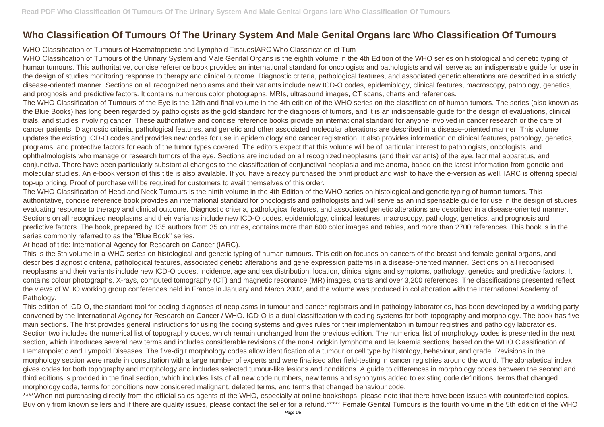## **Who Classification Of Tumours Of The Urinary System And Male Genital Organs Iarc Who Classification Of Tumours**

WHO Classification of Tumours of Haematopoietic and Lymphoid TissuesIARC Who Classification of Tum

WHO Classification of Tumours of the Urinary System and Male Genital Organs is the eighth volume in the 4th Edition of the WHO series on histological and genetic typing of human tumours. This authoritative, concise reference book provides an international standard for oncologists and pathologists and will serve as an indispensable guide for use in the design of studies monitoring response to therapy and clinical outcome. Diagnostic criteria, pathological features, and associated genetic alterations are described in a strictly disease-oriented manner. Sections on all recognized neoplasms and their variants include new ICD-O codes, epidemiology, clinical features, macroscopy, pathology, genetics, and prognosis and predictive factors. It contains numerous color photographs, MRIs, ultrasound images, CT scans, charts and references. The WHO Classification of Tumours of the Eye is the 12th and final volume in the 4th edition of the WHO series on the classification of human tumors. The series (also known as the Blue Books) has long been regarded by pathologists as the gold standard for the diagnosis of tumors, and it is an indispensable guide for the design of evaluations, clinical trials, and studies involving cancer. These authoritative and concise reference books provide an international standard for anyone involved in cancer research or the care of cancer patients. Diagnostic criteria, pathological features, and genetic and other associated molecular alterations are described in a disease-oriented manner. This volume updates the existing ICD-O codes and provides new codes for use in epidemiology and cancer registration. It also provides information on clinical features, pathology, genetics, programs, and protective factors for each of the tumor types covered. The editors expect that this volume will be of particular interest to pathologists, oncologists, and ophthalmologists who manage or research tumors of the eye. Sections are included on all recognized neoplasms (and their variants) of the eye, lacrimal apparatus, and conjunctiva. There have been particularly substantial changes to the classification of conjunctival neoplasia and melanoma, based on the latest information from genetic and molecular studies. An e-book version of this title is also available. If you have already purchased the print product and wish to have the e-version as well, IARC is offering special top-up pricing. Proof of purchase will be required for customers to avail themselves of this order.

The WHO Classification of Head and Neck Tumours is the ninth volume in the 4th Edition of the WHO series on histological and genetic typing of human tumors. This authoritative, concise reference book provides an international standard for oncologists and pathologists and will serve as an indispensable guide for use in the design of studies evaluating response to therapy and clinical outcome. Diagnostic criteria, pathological features, and associated genetic alterations are described in a disease-oriented manner. Sections on all recognized neoplasms and their variants include new ICD-O codes, epidemiology, clinical features, macroscopy, pathology, genetics, and prognosis and predictive factors. The book, prepared by 135 authors from 35 countries, contains more than 600 color images and tables, and more than 2700 references. This book is in the series commonly referred to as the "Blue Book" series.

At head of title: International Agency for Research on Cancer (IARC).

This is the 5th volume in a WHO series on histological and genetic typing of human tumours. This edition focuses on cancers of the breast and female genital organs, and describes diagnostic criteria, pathological features, associated genetic alterations and gene expression patterns in a disease-oriented manner. Sections on all recognised neoplasms and their variants include new ICD-O codes, incidence, age and sex distribution, location, clinical signs and symptoms, pathology, genetics and predictive factors. It contains colour photographs, X-rays, computed tomography (CT) and magnetic resonance (MR) images, charts and over 3,200 references. The classifications presented reflect the views of WHO working group conferences held in France in January and March 2002, and the volume was produced in collaboration with the International Academy of Pathology.

This edition of ICD-O, the standard tool for coding diagnoses of neoplasms in tumour and cancer registrars and in pathology laboratories, has been developed by a working party convened by the International Agency for Research on Cancer / WHO. ICD-O is a dual classification with coding systems for both topography and morphology. The book has five main sections. The first provides general instructions for using the coding systems and gives rules for their implementation in tumour registries and pathology laboratories. Section two includes the numerical list of topography codes, which remain unchanged from the previous edition. The numerical list of morphology codes is presented in the next section, which introduces several new terms and includes considerable revisions of the non-Hodgkin lymphoma and leukaemia sections, based on the WHO Classification of Hematopoietic and Lympoid Diseases. The five-digit morphology codes allow identification of a tumour or cell type by histology, behaviour, and grade. Revisions in the morphology section were made in consultation with a large number of experts and were finalised after field-testing in cancer registries around the world. The alphabetical index gives codes for both topography and morphology and includes selected tumour-like lesions and conditions. A guide to differences in morphology codes between the second and third editions is provided in the final section, which includes lists of all new code numbers, new terms and synonyms added to existing code definitions, terms that changed morphology code, terms for conditions now considered malignant, deleted terms, and terms that changed behaviour code.

\*\*\*\*When not purchasing directly from the official sales agents of the WHO, especially at online bookshops, please note that there have been issues with counterfeited copies. Buy only from known sellers and if there are quality issues, please contact the seller for a refund.\*\*\*\*\* Female Genital Tumours is the fourth volume in the 5th edition of the WHO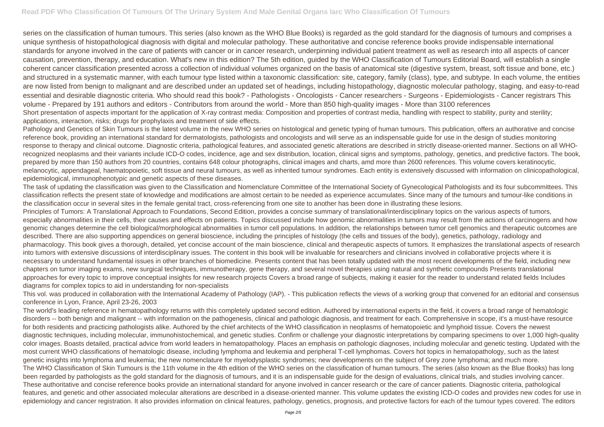series on the classification of human tumours. This series (also known as the WHO Blue Books) is regarded as the gold standard for the diagnosis of tumours and comprises a unique synthesis of histopathological diagnosis with digital and molecular pathology. These authoritative and concise reference books provide indispensable international standards for anyone involved in the care of patients with cancer or in cancer research, underpinning individual patient treatment as well as research into all aspects of cancer causation, prevention, therapy, and education. What's new in this edition? The 5th edition, guided by the WHO Classification of Tumours Editorial Board, will establish a single coherent cancer classification presented across a collection of individual volumes organized on the basis of anatomical site (digestive system, breast, soft tissue and bone, etc.) and structured in a systematic manner, with each tumour type listed within a taxonomic classification: site, category, family (class), type, and subtype. In each volume, the entities are now listed from benign to malignant and are described under an updated set of headings, including histopathology, diagnostic molecular pathology, staging, and easy-to-read essential and desirable diagnostic criteria. Who should read this book? - Pathologists - Oncologists - Cancer researchers - Surgeons - Epidemiologists - Cancer registrars This volume - Prepared by 191 authors and editors - Contributors from around the world - More than 850 high-quality images - More than 3100 references Short presentation of aspects important for the application of X-ray contrast media: Composition and properties of contrast media, handling with respect to stability, purity and sterility; applications, interaction, risks; drugs for prophylaxis and treatment of side effects.

Pathology and Genetics of Skin Tumours is the latest volume in the new WHO series on histological and genetic typing of human tumours. This publication, offers an authorative and concise reference book, providing an international standard for dermatologists, pathologists and oncologists and will serve as an indispensable guide for use in the design of studies monitoring response to therapy and clinical outcome. Diagnostic criteria, pathological features, and associated genetic alterations are described in strictly disease-oriented manner. Sections on all WHOrecognized neoplasms and their variants include ICD-O codes, incidence, age and sex distribution, location, clinical signs and symptoms, pathology, genetics, and predictive factors. The book, prepared by more than 150 authors from 20 countries, contains 648 colour photographs, clinical images and charts, amd more than 2600 references. This volume covers keratinocytic, melanocytic, appendageal, haematopoietic, soft tissue and neural tumours, as well as inherited tumour syndromes. Each entity is extensively discussed with information on clinicopathological, epidemiological, immunophenotypic and genetic aspects of these diseases.

The task of updating the classification was given to the Classification and Nomenclature Committee of the International Society of Gynecological Pathologists and its four subcommittees. This classification reflects the present state of knowledge and modifications are almost certain to be needed as experience accumulates. Since many of the tumours and tumour-like conditions in the classification occur in several sites in the female genital tract, cross-referencing from one site to another has been done in illustrating these lesions. Principles of Tumors: A Translational Approach to Foundations, Second Edition, provides a concise summary of translational/interdisciplinary topics on the various aspects of tumors, especially abnormalities in their cells, their causes and effects on patients. Topics discussed include how genomic abnormalities in tumors may result from the actions of carcinogens and how genomic changes determine the cell biological/morphological abnormalities in tumor cell populations. In addition, the relationships between tumor cell genomics and therapeutic outcomes are described. There are also supporting appendices on general bioscience, including the principles of histology (the cells and tissues of the body), genetics, pathology, radiology and pharmacology. This book gives a thorough, detailed, yet concise account of the main bioscience, clinical and therapeutic aspects of tumors. It emphasizes the translational aspects of research into tumors with extensive discussions of interdisciplinary issues. The content in this book will be invaluable for researchers and clinicians involved in collaborative projects where it is necessary to understand fundamental issues in other branches of biomedicine. Presents content that has been totally updated with the most recent developments of the field, including new chapters on tumor imaging exams, new surgical techniques, immunotherapy, gene therapy, and several novel therapies using natural and synthetic compounds Presents translational approaches for every topic to improve conceptual insights for new research projects Covers a broad range of subjects, making it easier for the reader to understand related fields Includes diagrams for complex topics to aid in understanding for non-specialists

This vol. was produced in collaboration with the International Academy of Pathology (IAP). - This publication reflects the views of a working group that convened for an editorial and consensus conference in Lyon, France, April 23-26, 2003

The world's leading reference in hematopathology returns with this completely updated second edition. Authored by international experts in the field, it covers a broad range of hematologic disorders -- both benign and malignant -- with information on the pathogenesis, clinical and pathologic diagnosis, and treatment for each. Comprehensive in scope, it's a must-have resource for both residents and practicing pathologists alike. Authored by the chief architects of the WHO classification in neoplasms of hematopoietic and lymphoid tissue. Covers the newest diagnostic techniques, including molecular, immunohistochemical, and genetic studies. Confirm or challenge your diagnostic interpretations by comparing specimens to over 1,000 high-quality color images. Boasts detailed, practical advice from world leaders in hematopathology. Places an emphasis on pathologic diagnoses, including molecular and genetic testing. Updated with the most current WHO classifications of hematologic disease, including lymphoma and leukemia and peripheral T-cell lymphomas. Covers hot topics in hematopathology, such as the latest genetic insights into lymphoma and leukemia; the new nomenclature for myelodysplastic syndromes; new developments on the subject of Grey zone lymphoma; and much more. The WHO Classification of Skin Tumours is the 11th volume in the 4th edition of the WHO series on the classification of human tumours. The series (also known as the Blue Books) has long been regarded by pathologists as the gold standard for the diagnosis of tumours, and it is an indispensable guide for the design of evaluations, clinical trials, and studies involving cancer. These authoritative and concise reference books provide an international standard for anyone involved in cancer research or the care of cancer patients. Diagnostic criteria, pathological features, and genetic and other associated molecular alterations are described in a disease-oriented manner. This volume updates the existing ICD-O codes and provides new codes for use in epidemiology and cancer registration. It also provides information on clinical features, pathology, genetics, prognosis, and protective factors for each of the tumour types covered. The editors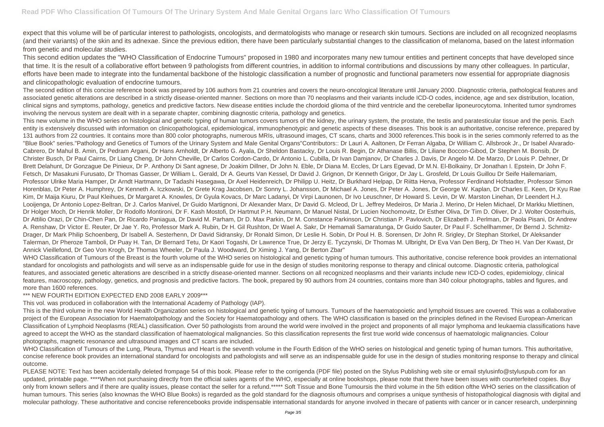expect that this volume will be of particular interest to pathologists, oncologists, and dermatologists who manage or research skin tumours. Sections are included on all recognized neoplasms (and their variants) of the skin and its adnexae. Since the previous edition, there have been particularly substantial changes to the classification of melanoma, based on the latest information from genetic and molecular studies.

This second edition updates the "WHO Classification of Endocrine Tumours" proposed in 1980 and incorporates many new tumour entities and pertinent concepts that have developed since that time. It is the result of a collaborative effort between 9 pathologists from different countries, in addition to informal contributions and discussions by many other colleagues. In particular, efforts have been made to integrate into the fundamental backbone of the histologic classification a number of prognostic and functional parameters now essential for appropriate diagnosis and clinicopathologic evaluation of endocrine tumours.

The second edition of this concise reference book was prepared by 106 authors from 21 countries and covers the neuro-oncological literature until January 2000. Diagnostic criteria, pathological features and associated genetic alterations are described in a strictly disease-oriented manner. Sections on more than 70 neoplasms and their variants include ICD-O codes, incidence, age and sex distribution, location, clinical signs and symptoms, pathology, genetics and predictive factors. New disease entities include the chordoid glioma of the third ventricle and the cerebellar liponeurocytoma. Inherited tumor syndromes involving the nervous system are dealt with in a separate chapter, combining diagnostic criteria, pathology and genetics.

WHO Classification of Tumours of the Breast is the fourth volume of the WHO series on histological and genetic typing of human tumours. This authoritative, concise reference book provides an international standard for oncologists and pathologists and will serve as an indispensable guide for use in the design of studies monitoring response to therapy and clinical outcome. Diagnostic criteria, pathological features, and associated genetic alterations are described in a strictly disease-oriented manner. Sections on all recognized neoplasms and their variants include new ICD-O codes, epidemiology, clinical features, macroscopy, pathology, genetics, and prognosis and predictive factors. The book, prepared by 90 authors from 24 countries, contains more than 340 colour photographs, tables and figures, and more than 1600 references.

This new volume in the WHO series on histological and genetic typing of human tumors covers tumors of the kidney, the urinary system, the prostate, the testis and paratesticular tissue and the penis. Each entity is extensively discussed with information on clinicopathological, epidemiological, immunophenotypic and genetic aspects of these diseases. This book is an authoritative, concise reference, prepared by 131 authors from 22 countries. It contains more than 800 color photographs, numerous MRIs, ultrasound images, CT scans, charts and 3000 references.This book is in the series commonly referred to as the "Blue Book" series."Pathology and Genetics of Tumors of the Urinary System and Male Genital Organs"Contributors:: Dr Lauri A. Aaltonen, Dr Ferran Algaba, Dr William C. Allsbrook Jr., Dr Isabel Alvarado-Cabrero, Dr Mahul B. Amin, Dr Pedram Argani, Dr Hans Arnholdt, Dr Alberto G. Ayala, Dr Sheldon Bastacky, Dr Louis R. Begin, Dr Athanase Billis, Dr Liliane Boccon-Gibod, Dr Stephen M. Bonsib, Dr Christer Busch, Dr Paul Cairns, Dr Liang Cheng, Dr John Cheville, Dr Carlos Cordon-Cardo, Dr Antonio L. Cubilla, Dr Ivan Damjanov, Dr Charles J. Davis, Dr Angelo M. De Marzo, Dr Louis P. Dehner, Dr Brett Delahunt, Dr Gonzague De Pinieux, Dr P. Anthony Di Sant agnese, Dr Joakim Dillner, Dr John N. Eble, Dr Diana M. Eccles, Dr Lars Egevad, Dr M.N. El-Bolkainy, Dr Jonathan I. Epstein, Dr John F. Fetsch, Dr Masakuni Furusato, Dr Thomas Gasser, Dr William L. Gerald, Dr A. Geurts Van Kessel, Dr David J. Grignon, Dr Kenneth Grigor, Dr Jay L. Grosfeld, Dr Louis Guillou Dr Seife Hailemariam, Professor Ulrike Maria Hamper, Dr Arndt Hartmann, Dr Tadashi Hasegawa, Dr Axel Heidenreich, Dr Philipp U. Heitz, Dr Burkhard Helpap, Dr Riitta Herva, Professor Ferdinand Hofstadter, Professor Simon Horenblas, Dr Peter A. Humphrey, Dr Kenneth A. Iczkowski, Dr Grete Krag Jacobsen, Dr Sonny L. Johansson, Dr Michael A. Jones, Dr Peter A. Jones, Dr George W. Kaplan, Dr Charles E. Keen, Dr Kyu Rae Kim, Dr Maija Kiuru, Dr Paul Kleihues, Dr Margaret A. Knowles, Dr Gyula Kovacs, Dr Marc Ladanyi, Dr Virpi Launonen, Dr Ivo Leuschner, Dr Howard S. Levin, Dr W. Marston Linehan, Dr Leendert H.J. Looijenga, Dr Antonio Lopez-Beltran, Dr J. Carlos Manivel, Dr Guido Martignoni, Dr Alexander Marx, Dr David G. Mcleod, Dr L. Jeffrey Medeiros, Dr Maria J. Merino, Dr Helen Michael, Dr Markku Miettinen, Dr Holger Moch, Dr Henrik Moller, Dr Rodolfo Montironi, Dr F. Kash Mostofi, Dr Hartmut P.H. Neumann, Dr Manuel Nistal, Dr Lucien Nochomovitz, Dr Esther Oliva, Dr Tim D. Oliver, Dr J. Wolter Oosterhuis, Dr Attilio Orazi, Dr Chin-Chen Pan, Dr Ricardo Paniagua, Dr David M. Parham, Dr D. Max Parkin, Dr M. Constance Parkinson, Dr Christian P. Pavlovich, Dr Elizabeth J. Perlman, Dr Paola Pisani, Dr Andrew A. Renshaw, Dr Victor E. Reuter, Dr Jae Y. Ro, Professor Mark A. Rubin, Dr H. Gil Rushton, Dr Wael A. Sakr, Dr Hemamali Samaratunga, Dr Guido Sauter, Dr Paul F. Schellhammer, Dr Bernd J. Schmitz-Drager, Dr Mark Philip Schoenberg, Dr Isabell A. Sesterhenn, Dr David Sidransky, Dr Ronald Simon, Dr Leslie H. Sobin, Dr Poul H. B. Sorensen, Dr John R. Srigley, Dr Stephan Storkel, Dr Aleksander Talerman, Dr Pheroze Tamboli, Dr Puay H. Tan, Dr Bernard Tetu, Dr Kaori Togashi, Dr Lawrence True, Dr Jerzy E. Tyczynski, Dr Thomas M. Ulbright, Dr Eva Van Den Berg, Dr Theo H. Van Der Kwast, Dr Annick Vieillefond, Dr Geo Von Krogh, Dr Thomas Wheeler, Dr Paula J. Woodward, Dr Ximing J. Yang, Dr Berton Zbar"

WHO Classification of Tumours of the Lung, Pleura, Thymus and Heart is the seventh volume in the Fourth Edition of the WHO series on histological and genetic typing of human tumors. This authoritative, concise reference book provides an international standard for oncologists and pathologists and will serve as an indispensable guide for use in the design of studies monitoring response to therapy and clinical outcome.

PLEASE NOTE: Text has been accidentally deleted frompage 54 of this book. Please refer to the corrigenda (PDF file) posted on the Stylus Publishing web site or email stylusinfo@styluspub.com for an updated, printable page. \*\*\*\*When not purchasing directly from the official sales agents of the WHO, especially at online bookshops, please note that there have been issues with counterfeited copies. Buy only from known sellers and if there are quality issues, please contact the seller for a refund.\*\*\*\*\* Soft Tissue and Bone Tumoursis the third volume in the 5th edition of the WHO series on the classification of human tumours. This series (also knownas the WHO Blue Books) is regarded as the gold standard for the diagnosis of tumours and comprises a unique synthesis of histopathological diagnosis with digital and molecular pathology. These authoritative and concise referencebooks provide indispensable international standards for anyone involved in thecare of patients with cancer or in cancer research, underpinning

## \*\*\* NEW FOURTH EDITION EXPECTED END 2008 EARLY 2009\*\*\*

This vol. was produced in collaboration with the International Academy of Pathology (IAP).

This is the third volume in the new World Health Organization series on histological and genetic typing of tumours. Tumours of the haematopoietic and lymphoid tissues are covered. This was a collaborative project of the European Association for Haematolpathology and the Society for Haematopathology and others. The WHO classification is based on the principles defined in the Revised European-American Classification of Lymphoid Neoplasms (REAL) classification. Over 50 pathologists from around the world were involved in the project and proponents of all major lymphoma and leukaemia classifications have agreed to accept the WHO as the standard classification of haematological malignancies. So this classification represents the first true world wide concensus of haematologic malignancies. Colour photographs, magnetic resonance and ultrasound images and CT scans are included.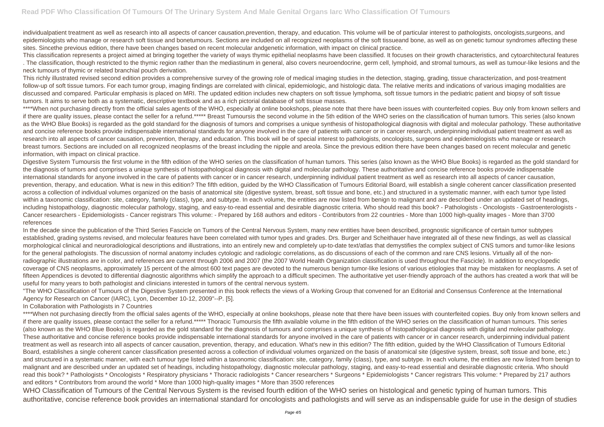individualpatient treatment as well as research into all aspects of cancer causation,prevention, therapy, and education. This volume will be of particular interest to pathologists, oncologists, surgeons, and epidemiologists who manage or research soft tissue and bonetumours. Sections are included on all recognized neoplasms of the soft tissueand bone, as well as on genetic tumour syndromes affecting these sites. Sincethe previous edition, there have been changes based on recent molecular andgenetic information, with impact on clinical practice.

This classification represents a project aimed at bringing together the variety of ways thymic epithelial neoplasms have been classified. It focuses on their growth characteristics, and cytoarchitectural features . The classification, though restricted to the thymic region rather than the mediastinum in general, also covers neuroendocrine, germ cell, lymphoid, and stromal tumours, as well as tumour-like lesions and the neck tumours of thymic or related branchial pouch derivation.

This richly illustrated revised second edition provides a comprehensive survey of the growing role of medical imaging studies in the detection, staging, grading, tissue characterization, and post-treatment follow-up of soft tissue tumors. For each tumor group, imaging findings are correlated with clinical, epidemiologic, and histologic data. The relative merits and indications of various imaging modalities are discussed and compared. Particular emphasis is placed on MRI. The updated edition includes new chapters on soft tissue lymphoma, soft tissue tumors in the pediatric patient and biopsy of soft tissue tumors. It aims to serve both as a systematic, descriptive textbook and as a rich pictorial database of soft tissue masses.

\*\*\*\*When not purchasing directly from the official sales agents of the WHO, especially at online bookshops, please note that there have been issues with counterfeited copies. Buy only from known sellers and if there are quality issues, please contact the seller for a refund.\*\*\*\*\* Breast Tumoursis the second volume in the 5th edition of the WHO series on the classification of human tumors. This series (also known as the WHO Blue Books) is regarded as the gold standard for the diagnosis of tumors and comprises a unique synthesis of histopathological diagnosis with digital and molecular pathology. These authoritative and concise reference books provide indispensable international standards for anyone involved in the care of patients with cancer or in cancer research, underpinning individual patient treatment as well as research into all aspects of cancer causation, prevention, therapy, and education. This book will be of special interest to pathologists, oncologists, surgeons and epidemiologists who manage or research breast tumors. Sections are included on all recognized neoplasms of the breast including the nipple and areola. Since the previous edition there have been changes based on recent molecular and genetic information, with impact on clinical practice.

Digestive System Tumoursis the first volume in the fifth edition of the WHO series on the classification of human tumors. This series (also known as the WHO Blue Books) is regarded as the gold standard for the diagnosis of tumors and comprises a unique synthesis of histopathological diagnosis with digital and molecular pathology. These authoritative and concise reference books provide indispensable international standards for anyone involved in the care of patients with cancer or in cancer research, underpinning individual patient treatment as well as research into all aspects of cancer causation, prevention, therapy, and education. What is new in this edition? The fifth edition, quided by the WHO Classification of Tumours Editorial Board, will establish a single coherent cancer classification presented across a collection of individual volumes organized on the basis of anatomical site (digestive system, breast, soft tissue and bone, etc.) and structured in a systematic manner, with each tumor type listed within a taxonomic classification: site, category, family (class), type, and subtype. In each volume, the entities are now listed from benign to malignant and are described under an updated set of headings, including histopathology, diagnostic molecular pathology, staging, and easy-to-read essential and desirable diagnostic criteria. Who should read this book? - Pathologists - Oncologists - Gastroenterologists -Cancer researchers - Epidemiologists - Cancer registrars This volume: - Prepared by 168 authors and editors - Contributors from 22 countries - More than 1000 high-quality images - More than 3700 references

\*\*\*\*When not purchasing directly from the official sales agents of the WHO, especially at online bookshops, please note that there have been issues with counterfeited copies. Buy only from known sellers and if there are quality issues, please contact the seller for a refund.\*\*\*\*\* Thoracic Tumoursis the fifth available volume in the fifth edition of the WHO series on the classification of human tumours. This series (also known as the WHO Blue Books) is regarded as the gold standard for the diagnosis of tumours and comprises a unique synthesis of histopathological diagnosis with digital and molecular pathology. These authoritative and concise reference books provide indispensable international standards for anyone involved in the care of patients with cancer or in cancer research, underpinning individual patient treatment as well as research into all aspects of cancer causation, prevention, therapy, and education. What's new in this edition? The fifth edition, guided by the WHO Classification of Tumours Editorial Board, establishes a single coherent cancer classification presented across a collection of individual volumes organized on the basis of anatomical site (digestive system, breast, soft tissue and bone, etc.) and structured in a systematic manner, with each tumour type listed within a taxonomic classification: site, category, family (class), type, and subtype. In each volume, the entities are now listed from benign to malignant and are described under an updated set of headings, including histopathology, diagnostic molecular pathology, staging, and easy-to-read essential and desirable diagnostic criteria. Who should read this book? \* Pathologists \* Oncologists \* Respiratory physicians \* Thoracic radiologists \* Cancer researchers \* Surgeons \* Epidemiologists \* Cancer registrars This volume: \* Prepared by 217 authors and editors \* Contributors from around the world \* More than 1000 high-quality images \* More than 3500 references

WHO Classification of Tumours of the Central Nervous System is the revised fourth edition of the WHO series on histological and genetic typing of human tumors. This authoritative, concise reference book provides an international standard for oncologists and pathologists and will serve as an indispensable guide for use in the design of studies

In the decade since the publication of the Third Series Fascicle on Tumors of the Central Nervous System, many new entities have been described, prognostic significance of certain tumor subtypes established, grading systems revised, and molecular features have been correlated with tumor types and grades. Drs. Burger and Scheithauer have integrated all of these new findings, as well as classical morphological clinical and neuroradiological descriptions and illustrations, into an entirely new and completely up-to-date text/atlas that demystifies the complex subject of CNS tumors and tumor-like lesions for the general pathologists. The discussion of normal anatomy includes cytologic and radiologic correlations, as do discussions of each of the common and rare CNS lesions. Virtually all of the nonradiographic illustrations are in color, and references are current through 2006 and 2007 (the 2007 World Health Organization classification is used throughout the Fascicle). In addition to encyclopedic coverage of CNS neoplasms, approximately 15 percent of the almost 600 text pages are devoted to the numerous benign tumor-like lesions of various etiologies that may be mistaken for neoplasms. A set of fifteen Appendices is devoted to differential diagnostic algorithms which simplify the approach to a difficult specimen. The authoritative yet user-friendly approach of the authors has created a work that will be useful for many years to both pathologist and clinicians interested in tumors of the central nervous system.

"The WHO Classification of Tumours of the Digestive System presented in this book reflects the views of a Working Group that convened for an Editorial and Consensus Conference at the International Agency for Research on Cancer (IARC), Lyon, December 10-12, 2009"--P. [5].

In Collaboration with Pathologists in 7 Countries